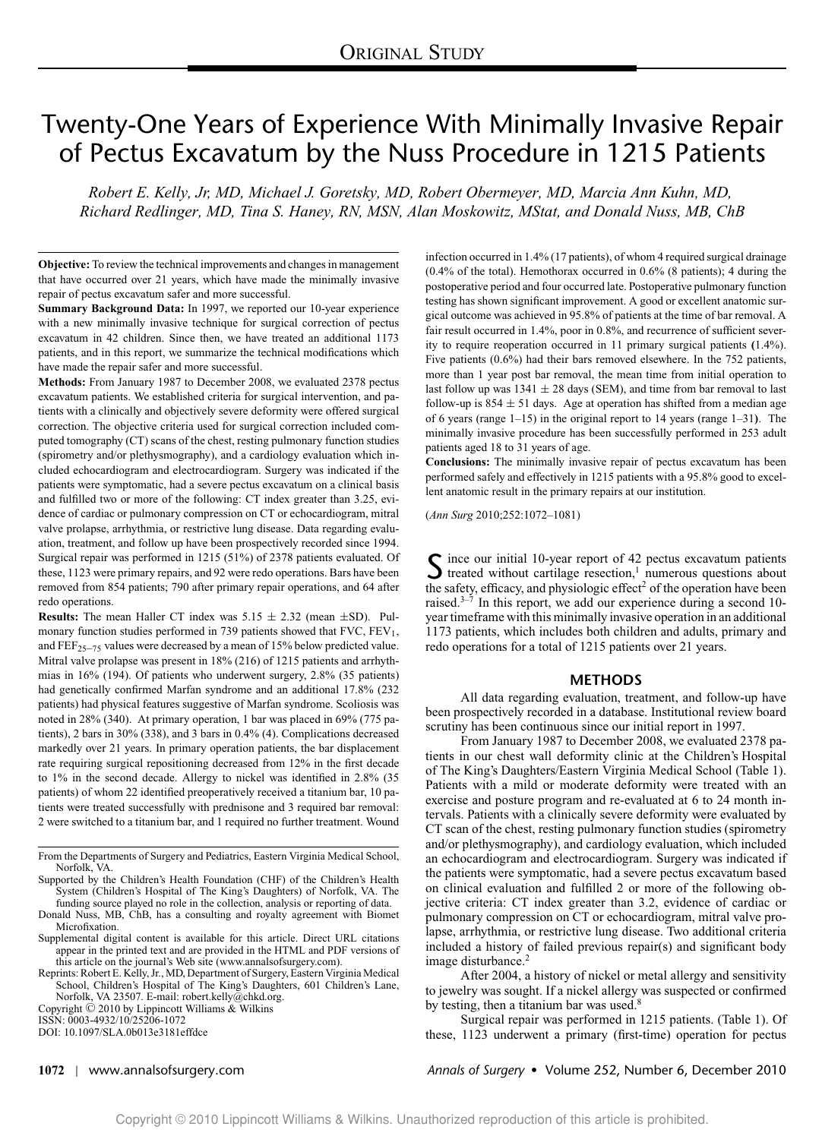# Twenty-One Years of Experience With Minimally Invasive Repair of Pectus Excavatum by the Nuss Procedure in 1215 Patients

*Robert E. Kelly, Jr, MD, Michael J. Goretsky, MD, Robert Obermeyer, MD, Marcia Ann Kuhn, MD, Richard Redlinger, MD, Tina S. Haney, RN, MSN, Alan Moskowitz, MStat, and Donald Nuss, MB, ChB*

**Objective:** To review the technical improvements and changes in management that have occurred over 21 years, which have made the minimally invasive repair of pectus excavatum safer and more successful.

**Summary Background Data:** In 1997, we reported our 10-year experience with a new minimally invasive technique for surgical correction of pectus excavatum in 42 children. Since then, we have treated an additional 1173 patients, and in this report, we summarize the technical modifications which have made the repair safer and more successful.

**Methods:** From January 1987 to December 2008, we evaluated 2378 pectus excavatum patients. We established criteria for surgical intervention, and patients with a clinically and objectively severe deformity were offered surgical correction. The objective criteria used for surgical correction included computed tomography (CT) scans of the chest, resting pulmonary function studies (spirometry and/or plethysmography), and a cardiology evaluation which included echocardiogram and electrocardiogram. Surgery was indicated if the patients were symptomatic, had a severe pectus excavatum on a clinical basis and fulfilled two or more of the following: CT index greater than 3.25, evidence of cardiac or pulmonary compression on CT or echocardiogram, mitral valve prolapse, arrhythmia, or restrictive lung disease. Data regarding evaluation, treatment, and follow up have been prospectively recorded since 1994. Surgical repair was performed in 1215 (51%) of 2378 patients evaluated. Of these, 1123 were primary repairs, and 92 were redo operations. Bars have been removed from 854 patients; 790 after primary repair operations, and 64 after redo operations.

**Results:** The mean Haller CT index was  $5.15 \pm 2.32$  (mean  $\pm$ SD). Pulmonary function studies performed in 739 patients showed that  $FVC$ ,  $FEV<sub>1</sub>$ , and  $\text{FEF}_{25-75}$  values were decreased by a mean of 15% below predicted value. Mitral valve prolapse was present in 18% (216) of 1215 patients and arrhythmias in 16% (194). Of patients who underwent surgery, 2.8% (35 patients) had genetically confirmed Marfan syndrome and an additional 17.8% (232 patients) had physical features suggestive of Marfan syndrome. Scoliosis was noted in 28% (340). At primary operation, 1 bar was placed in 69% (775 patients), 2 bars in 30% (338), and 3 bars in 0.4% (4). Complications decreased markedly over 21 years. In primary operation patients, the bar displacement rate requiring surgical repositioning decreased from 12% in the first decade to 1% in the second decade. Allergy to nickel was identified in 2.8% (35 patients) of whom 22 identified preoperatively received a titanium bar, 10 patients were treated successfully with prednisone and 3 required bar removal: 2 were switched to a titanium bar, and 1 required no further treatment. Wound

Donald Nuss, MB, ChB, has a consulting and royalty agreement with Biomet Microfixation.

Copyright © 2010 by Lippincott Williams & Wilkins

ISSN: 0003-4932/10/25206-1072

DOI: 10.1097/SLA.0b013e3181effdce

infection occurred in 1.4% (17 patients), of whom 4 required surgical drainage (0.4% of the total). Hemothorax occurred in 0.6% (8 patients); 4 during the postoperative period and four occurred late. Postoperative pulmonary function testing has shown significant improvement. A good or excellent anatomic surgical outcome was achieved in 95.8% of patients at the time of bar removal. A fair result occurred in 1.4%, poor in 0.8%, and recurrence of sufficient severity to require reoperation occurred in 11 primary surgical patients **(**1.4%). Five patients (0.6%) had their bars removed elsewhere. In the 752 patients, more than 1 year post bar removal, the mean time from initial operation to last follow up was  $1341 \pm 28$  days (SEM), and time from bar removal to last follow-up is  $854 \pm 51$  days. Age at operation has shifted from a median age of 6 years (range 1–15) in the original report to 14 years (range 1–31**)**. The minimally invasive procedure has been successfully performed in 253 adult patients aged 18 to 31 years of age.

**Conclusions:** The minimally invasive repair of pectus excavatum has been performed safely and effectively in 1215 patients with a 95.8% good to excellent anatomic result in the primary repairs at our institution.

(*Ann Surg* 2010;252:1072–1081)

 $\sum$  ince our initial 10-year report of 42 pectus excavatum patients<br>treated without cartilage resection,<sup>1</sup> numerous questions about<br>the sefety of feacy and physiologic offeat<sup>2</sup> of the energtien have been the safety, efficacy, and physiologic effect<sup>2</sup> of the operation have been raised. $3-7$  In this report, we add our experience during a second 10year timeframe with this minimally invasive operation in an additional 1173 patients, which includes both children and adults, primary and redo operations for a total of 1215 patients over 21 years.

### **METHODS**

All data regarding evaluation, treatment, and follow-up have been prospectively recorded in a database. Institutional review board scrutiny has been continuous since our initial report in 1997.

From January 1987 to December 2008, we evaluated 2378 patients in our chest wall deformity clinic at the Children's Hospital of The King's Daughters/Eastern Virginia Medical School (Table 1). Patients with a mild or moderate deformity were treated with an exercise and posture program and re-evaluated at 6 to 24 month intervals. Patients with a clinically severe deformity were evaluated by CT scan of the chest, resting pulmonary function studies (spirometry and/or plethysmography), and cardiology evaluation, which included an echocardiogram and electrocardiogram. Surgery was indicated if the patients were symptomatic, had a severe pectus excavatum based on clinical evaluation and fulfilled 2 or more of the following objective criteria: CT index greater than 3.2, evidence of cardiac or pulmonary compression on CT or echocardiogram, mitral valve prolapse, arrhythmia, or restrictive lung disease. Two additional criteria included a history of failed previous repair(s) and significant body image disturbance.<sup>2</sup>

After 2004, a history of nickel or metal allergy and sensitivity to jewelry was sought. If a nickel allergy was suspected or confirmed by testing, then a titanium bar was used.<sup>8</sup>

Surgical repair was performed in 1215 patients. (Table 1). Of these, 1123 underwent a primary (first-time) operation for pectus

#### 1072 | www.annals of surgery.com

Annals of Surgery • Volume 252, Number 6, December 2010

From the Departments of Surgery and Pediatrics, Eastern Virginia Medical School, Norfolk, VA.

Supported by the Children's Health Foundation (CHF) of the Children's Health System (Children's Hospital of The King's Daughters) of Norfolk, VA. The funding source played no role in the collection, analysis or reporting of data.

Supplemental digital content is available for this article. Direct URL citations appear in the printed text and are provided in the HTML and PDF versions of this article on the journal's Web site (www.annalsofsurgery.com).

Reprints: Robert E. Kelly, Jr., MD, Department of Surgery, Eastern Virginia Medical School, Children's Hospital of The King's Daughters, 601 Children's Lane, Norfolk, VA 23507. E-mail: robert.kelly@chkd.org.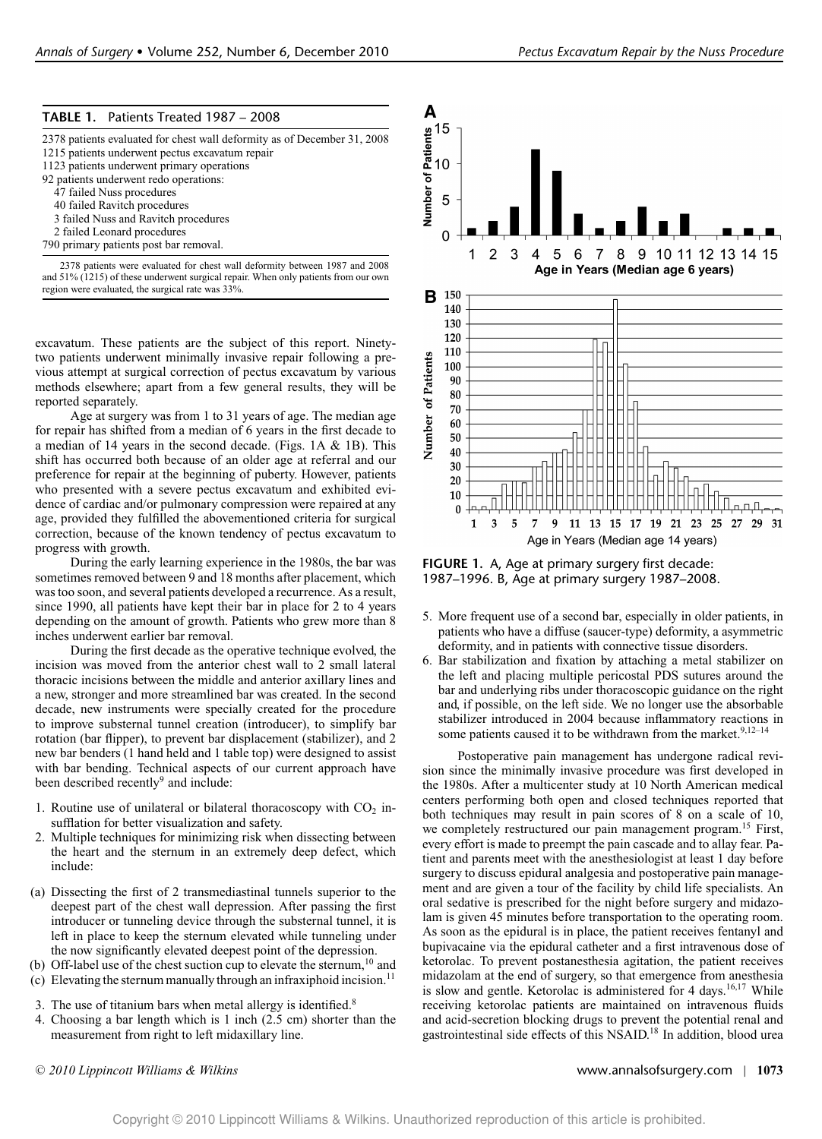#### **TABLE 1.** Patients Treated 1987 – 2008

- 2378 patients evaluated for chest wall deformity as of December 31, 2008
- 1215 patients underwent pectus excavatum repair
- 1123 patients underwent primary operations
- 92 patients underwent redo operations:
	- 47 failed Nuss procedures
	- 40 failed Ravitch procedures
	- 3 failed Nuss and Ravitch procedures
- 2 failed Leonard procedures
- 790 primary patients post bar removal.

2378 patients were evaluated for chest wall deformity between 1987 and 2008 and 51% (1215) of these underwent surgical repair. When only patients from our own region were evaluated, the surgical rate was 33%.

excavatum. These patients are the subject of this report. Ninetytwo patients underwent minimally invasive repair following a previous attempt at surgical correction of pectus excavatum by various methods elsewhere; apart from a few general results, they will be reported separately.

Age at surgery was from 1 to 31 years of age. The median age for repair has shifted from a median of 6 years in the first decade to a median of 14 years in the second decade. (Figs. 1A & 1B). This shift has occurred both because of an older age at referral and our preference for repair at the beginning of puberty. However, patients who presented with a severe pectus excavatum and exhibited evidence of cardiac and/or pulmonary compression were repaired at any age, provided they fulfilled the abovementioned criteria for surgical correction, because of the known tendency of pectus excavatum to progress with growth.

During the early learning experience in the 1980s, the bar was sometimes removed between 9 and 18 months after placement, which was too soon, and several patients developed a recurrence. As a result, since 1990, all patients have kept their bar in place for 2 to 4 years depending on the amount of growth. Patients who grew more than 8 inches underwent earlier bar removal.

During the first decade as the operative technique evolved, the incision was moved from the anterior chest wall to 2 small lateral thoracic incisions between the middle and anterior axillary lines and a new, stronger and more streamlined bar was created. In the second decade, new instruments were specially created for the procedure to improve substernal tunnel creation (introducer), to simplify bar rotation (bar flipper), to prevent bar displacement (stabilizer), and 2 new bar benders (1 hand held and 1 table top) were designed to assist with bar bending. Technical aspects of our current approach have been described recently<sup>9</sup> and include:

- 1. Routine use of unilateral or bilateral thoracoscopy with  $CO<sub>2</sub>$  insufflation for better visualization and safety.
- 2. Multiple techniques for minimizing risk when dissecting between the heart and the sternum in an extremely deep defect, which include:
- (a) Dissecting the first of 2 transmediastinal tunnels superior to the deepest part of the chest wall depression. After passing the first introducer or tunneling device through the substernal tunnel, it is left in place to keep the sternum elevated while tunneling under the now significantly elevated deepest point of the depression.
- (b) Off-label use of the chest suction cup to elevate the sternum,<sup>10</sup> and
- (c) Elevating the sternum manually through an infraxiphoid incision.<sup>11</sup>
- 3. The use of titanium bars when metal allergy is identified. $8$
- 4. Choosing a bar length which is 1 inch (2.5 cm) shorter than the measurement from right to left midaxillary line.



**FIGURE 1.** A, Age at primary surgery first decade: 1987–1996. B, Age at primary surgery 1987–2008.

- 5. More frequent use of a second bar, especially in older patients, in patients who have a diffuse (saucer-type) deformity, a asymmetric deformity, and in patients with connective tissue disorders.
- 6. Bar stabilization and fixation by attaching a metal stabilizer on the left and placing multiple pericostal PDS sutures around the bar and underlying ribs under thoracoscopic guidance on the right and, if possible, on the left side. We no longer use the absorbable stabilizer introduced in 2004 because inflammatory reactions in some patients caused it to be withdrawn from the market.<sup>9,12-14</sup>

Postoperative pain management has undergone radical revision since the minimally invasive procedure was first developed in the 1980s. After a multicenter study at 10 North American medical centers performing both open and closed techniques reported that both techniques may result in pain scores of 8 on a scale of 10, we completely restructured our pain management program.<sup>15</sup> First, every effort is made to preempt the pain cascade and to allay fear. Patient and parents meet with the anesthesiologist at least 1 day before surgery to discuss epidural analgesia and postoperative pain management and are given a tour of the facility by child life specialists. An oral sedative is prescribed for the night before surgery and midazolam is given 45 minutes before transportation to the operating room. As soon as the epidural is in place, the patient receives fentanyl and bupivacaine via the epidural catheter and a first intravenous dose of ketorolac. To prevent postanesthesia agitation, the patient receives midazolam at the end of surgery, so that emergence from anesthesia is slow and gentle. Ketorolac is administered for 4 days.<sup>16,17</sup> While receiving ketorolac patients are maintained on intravenous fluids and acid-secretion blocking drugs to prevent the potential renal and gastrointestinal side effects of this NSAID.18 In addition, blood urea

#### © 2010 Lippincott Williams & Wilkins

# <sup>C</sup> *2010 Lippincott Williams & Wilkins* www.annalsofsurgery.com | **1073**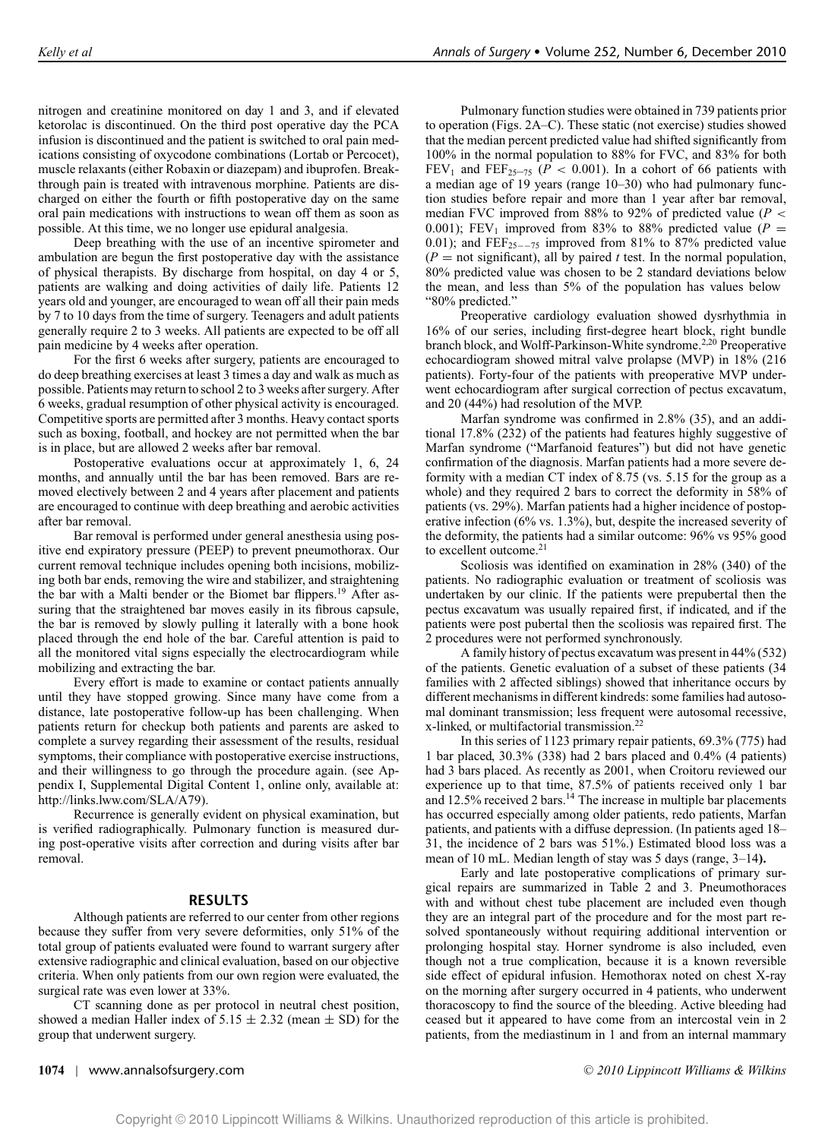nitrogen and creatinine monitored on day 1 and 3, and if elevated ketorolac is discontinued. On the third post operative day the PCA infusion is discontinued and the patient is switched to oral pain medications consisting of oxycodone combinations (Lortab or Percocet), muscle relaxants (either Robaxin or diazepam) and ibuprofen. Breakthrough pain is treated with intravenous morphine. Patients are discharged on either the fourth or fifth postoperative day on the same oral pain medications with instructions to wean off them as soon as possible. At this time, we no longer use epidural analgesia.

Deep breathing with the use of an incentive spirometer and ambulation are begun the first postoperative day with the assistance of physical therapists. By discharge from hospital, on day 4 or 5, patients are walking and doing activities of daily life. Patients 12 years old and younger, are encouraged to wean off all their pain meds by 7 to 10 days from the time of surgery. Teenagers and adult patients generally require 2 to 3 weeks. All patients are expected to be off all pain medicine by 4 weeks after operation.

For the first 6 weeks after surgery, patients are encouraged to do deep breathing exercises at least 3 times a day and walk as much as possible. Patients may return to school 2 to 3 weeks after surgery. After 6 weeks, gradual resumption of other physical activity is encouraged. Competitive sports are permitted after 3 months. Heavy contact sports such as boxing, football, and hockey are not permitted when the bar is in place, but are allowed 2 weeks after bar removal.

Postoperative evaluations occur at approximately 1, 6, 24 months, and annually until the bar has been removed. Bars are removed electively between 2 and 4 years after placement and patients are encouraged to continue with deep breathing and aerobic activities after bar removal.

Bar removal is performed under general anesthesia using positive end expiratory pressure (PEEP) to prevent pneumothorax. Our current removal technique includes opening both incisions, mobilizing both bar ends, removing the wire and stabilizer, and straightening the bar with a Malti bender or the Biomet bar flippers.<sup>19</sup> After assuring that the straightened bar moves easily in its fibrous capsule, the bar is removed by slowly pulling it laterally with a bone hook placed through the end hole of the bar. Careful attention is paid to all the monitored vital signs especially the electrocardiogram while mobilizing and extracting the bar.

Every effort is made to examine or contact patients annually until they have stopped growing. Since many have come from a distance, late postoperative follow-up has been challenging. When patients return for checkup both patients and parents are asked to complete a survey regarding their assessment of the results, residual symptoms, their compliance with postoperative exercise instructions, and their willingness to go through the procedure again. (see Appendix I, Supplemental Digital Content 1, online only, available at: http://links.lww.com/SLA/A79).

Recurrence is generally evident on physical examination, but is verified radiographically. Pulmonary function is measured during post-operative visits after correction and during visits after bar removal.

## **RESULTS**

Although patients are referred to our center from other regions because they suffer from very severe deformities, only 51% of the total group of patients evaluated were found to warrant surgery after extensive radiographic and clinical evaluation, based on our objective criteria. When only patients from our own region were evaluated, the surgical rate was even lower at 33%.

CT scanning done as per protocol in neutral chest position, showed a median Haller index of  $5.15 \pm 2.32$  (mean  $\pm$  SD) for the group that underwent surgery.

Pulmonary function studies were obtained in 739 patients prior to operation (Figs. 2A–C). These static (not exercise) studies showed that the median percent predicted value had shifted significantly from 100% in the normal population to 88% for FVC, and 83% for both FEV<sub>1</sub> and FEF<sub>25</sub>-75 ( $P < 0.001$ ). In a cohort of 66 patients with a median age of 19 years (range 10–30) who had pulmonary function studies before repair and more than 1 year after bar removal, median FVC improved from 88% to 92% of predicted value (*P* < 0.001); FEV<sub>1</sub> improved from 83% to 88% predicted value ( $P =$ 0.01); and  $FEF_{25=-75}$  improved from 81% to 87% predicted value  $(P =$  not significant), all by paired *t* test. In the normal population, 80% predicted value was chosen to be 2 standard deviations below the mean, and less than 5% of the population has values below "80% predicted."

Preoperative cardiology evaluation showed dysrhythmia in 16% of our series, including first-degree heart block, right bundle branch block, and Wolff-Parkinson-White syndrome.<sup>2,20</sup> Preoperative echocardiogram showed mitral valve prolapse (MVP) in 18% (216 patients). Forty-four of the patients with preoperative MVP underwent echocardiogram after surgical correction of pectus excavatum, and 20 (44%) had resolution of the MVP.

Marfan syndrome was confirmed in 2.8% (35), and an additional 17.8% (232) of the patients had features highly suggestive of Marfan syndrome ("Marfanoid features") but did not have genetic confirmation of the diagnosis. Marfan patients had a more severe deformity with a median CT index of 8.75 (vs. 5.15 for the group as a whole) and they required 2 bars to correct the deformity in 58% of patients (vs. 29%). Marfan patients had a higher incidence of postoperative infection (6% vs. 1.3%), but, despite the increased severity of the deformity, the patients had a similar outcome: 96% vs 95% good to excellent outcome.<sup>21</sup>

Scoliosis was identified on examination in 28% (340) of the patients. No radiographic evaluation or treatment of scoliosis was undertaken by our clinic. If the patients were prepubertal then the pectus excavatum was usually repaired first, if indicated, and if the patients were post pubertal then the scoliosis was repaired first. The 2 procedures were not performed synchronously.

A family history of pectus excavatum was present in 44% (532) of the patients. Genetic evaluation of a subset of these patients (34 families with 2 affected siblings) showed that inheritance occurs by different mechanisms in different kindreds: some families had autosomal dominant transmission; less frequent were autosomal recessive, x-linked, or multifactorial transmission.22

In this series of 1123 primary repair patients, 69.3% (775) had 1 bar placed, 30.3% (338) had 2 bars placed and 0.4% (4 patients) had 3 bars placed. As recently as 2001, when Croitoru reviewed our experience up to that time, 87.5% of patients received only 1 bar and 12.5% received 2 bars.<sup>14</sup> The increase in multiple bar placements has occurred especially among older patients, redo patients, Marfan patients, and patients with a diffuse depression. (In patients aged 18– 31, the incidence of 2 bars was 51%.) Estimated blood loss was a mean of 10 mL. Median length of stay was 5 days (range, 3–14**).**

Early and late postoperative complications of primary surgical repairs are summarized in Table 2 and 3. Pneumothoraces with and without chest tube placement are included even though they are an integral part of the procedure and for the most part resolved spontaneously without requiring additional intervention or prolonging hospital stay. Horner syndrome is also included, even though not a true complication, because it is a known reversible side effect of epidural infusion. Hemothorax noted on chest X-ray on the morning after surgery occurred in 4 patients, who underwent thoracoscopy to find the source of the bleeding. Active bleeding had ceased but it appeared to have come from an intercostal vein in 2 patients, from the mediastinum in 1 and from an internal mammary

1074 | www.annalsofsurgery.com

<sup>C</sup> *2010 Lippincott Williams & Wilkins*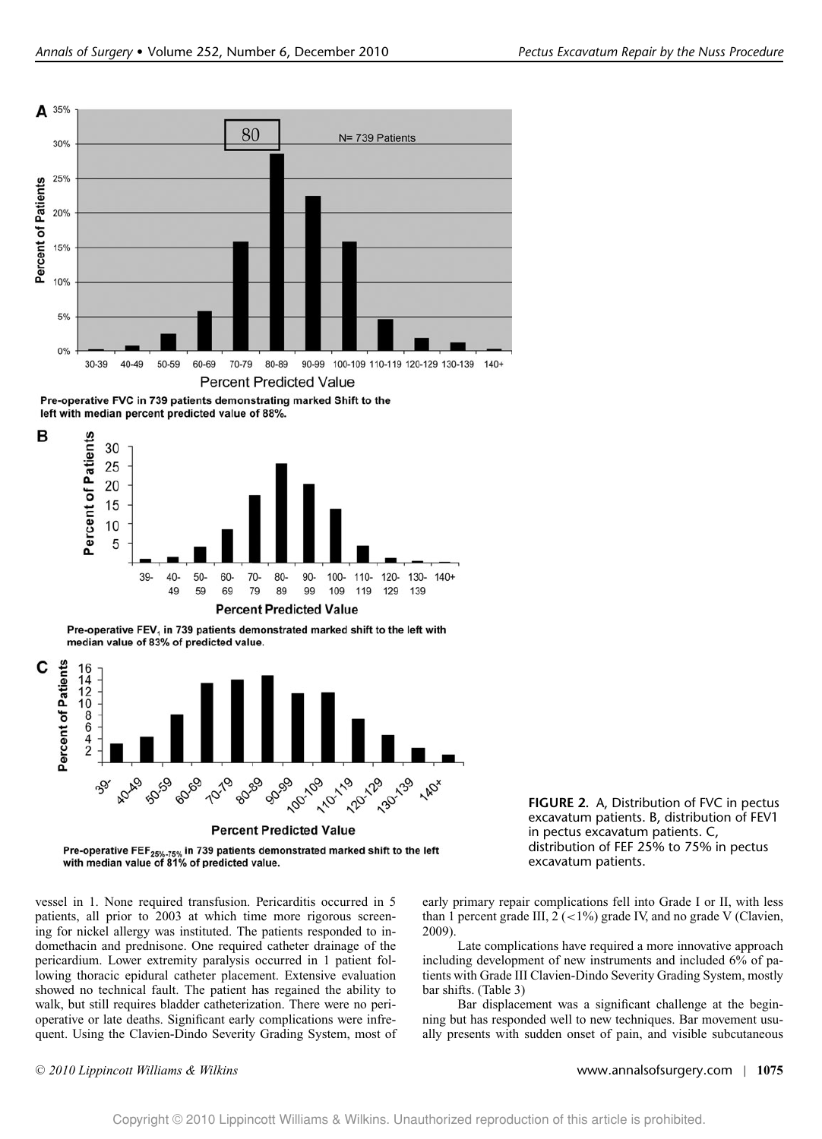

Pre-operative FVC in 739 patients demonstrating marked Shift to the left with median percent predicted value of 88%.



**Percent Predicted Value** Pre-operative FEF<sub>25%-75%</sub> in 739 patients demonstrated marked shift to the left with median value of 81% of predicted value.

vessel in 1. None required transfusion. Pericarditis occurred in 5 patients, all prior to 2003 at which time more rigorous screening for nickel allergy was instituted. The patients responded to indomethacin and prednisone. One required catheter drainage of the pericardium. Lower extremity paralysis occurred in 1 patient following thoracic epidural catheter placement. Extensive evaluation showed no technical fault. The patient has regained the ability to walk, but still requires bladder catheterization. There were no perioperative or late deaths. Significant early complications were infrequent. Using the Clavien-Dindo Severity Grading System, most of **FIGURE 2.** A, Distribution of FVC in pectus excavatum patients. B, distribution of FEV1 in pectus excavatum patients. C, distribution of FEF 25% to 75% in pectus excavatum patients.

early primary repair complications fell into Grade I or II, with less than 1 percent grade III,  $2$  (<1%) grade IV, and no grade V (Clavien, 2009).

Late complications have required a more innovative approach including development of new instruments and included 6% of patients with Grade III Clavien-Dindo Severity Grading System, mostly bar shifts. (Table 3)

Bar displacement was a significant challenge at the beginning but has responded well to new techniques. Bar movement usually presents with sudden onset of pain, and visible subcutaneous

#### © 2010 Lippincott Williams & Wilkins

<sup>C</sup> *2010 Lippincott Williams & Wilkins* www.annalsofsurgery.com | **1075**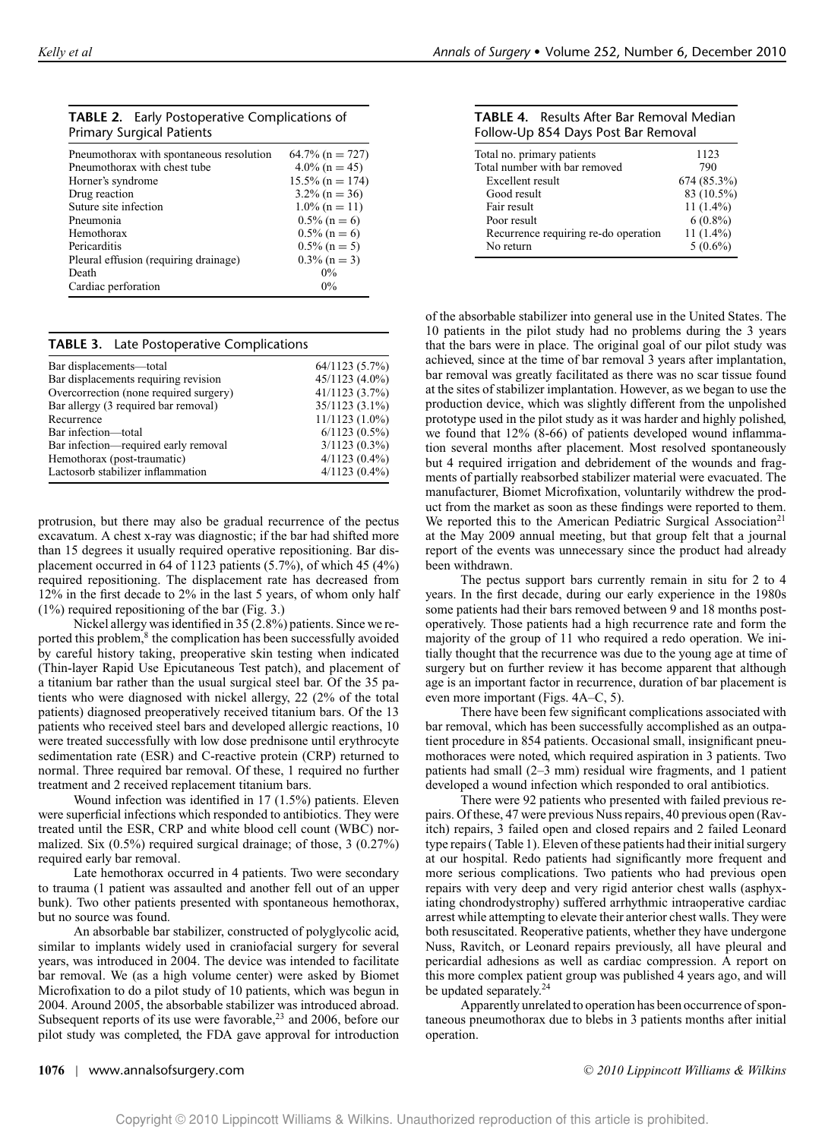| Pneumothorax with spontaneous resolution | $64.7\%$ (n = 727) |
|------------------------------------------|--------------------|
| Pneumothorax with chest tube             | $4.0\%$ (n = 45)   |
| Horner's syndrome                        | $15.5\%$ (n = 174) |
| Drug reaction                            | $3.2\%$ (n = 36)   |
| Suture site infection                    | $1.0\%$ (n = 11)   |
| Pneumonia                                | $0.5\%$ (n = 6)    |
| Hemothorax                               | $0.5\%$ (n = 6)    |
| Pericarditis                             | $0.5\%$ (n = 5)    |
| Pleural effusion (requiring drainage)    | $0.3\%$ (n = 3)    |
| Death                                    | $0\%$              |
| Cardiac perforation                      | $0\%$              |

| <b>TABLE 2.</b> Early Postoperative Complications of |  |  |  |
|------------------------------------------------------|--|--|--|
| Primary Surgical Patients                            |  |  |  |

| <b>TABLE 3.</b> Late Postoperative Complications |                  |
|--------------------------------------------------|------------------|
| Bar displacements—total                          | 64/1123(5.7%)    |
| Bar displacements requiring revision             | $45/1123(4.0\%)$ |
| Overcorrection (none required surgery)           | 41/1123 (3.7%)   |
| Bar allergy (3 required bar removal)             | 35/1123 (3.1%)   |
| Recurrence                                       | $11/1123(1.0\%)$ |
| Bar infection—total                              | $6/1123(0.5\%)$  |
| Bar infection—required early removal             | $3/1123(0.3\%)$  |
| Hemothorax (post-traumatic)                      | $4/1123(0.4\%)$  |
| Lactosorb stabilizer inflammation                | $4/1123(0.4\%)$  |

protrusion, but there may also be gradual recurrence of the pectus excavatum. A chest x-ray was diagnostic; if the bar had shifted more than 15 degrees it usually required operative repositioning. Bar displacement occurred in 64 of 1123 patients (5.7%), of which 45 (4%) required repositioning. The displacement rate has decreased from 12% in the first decade to 2% in the last 5 years, of whom only half (1%) required repositioning of the bar (Fig. 3.)

Nickel allergy was identified in 35 (2.8%) patients. Since we reported this problem,<sup>8</sup> the complication has been successfully avoided by careful history taking, preoperative skin testing when indicated (Thin-layer Rapid Use Epicutaneous Test patch), and placement of a titanium bar rather than the usual surgical steel bar. Of the 35 patients who were diagnosed with nickel allergy, 22 (2% of the total patients) diagnosed preoperatively received titanium bars. Of the 13 patients who received steel bars and developed allergic reactions, 10 were treated successfully with low dose prednisone until erythrocyte sedimentation rate (ESR) and C-reactive protein (CRP) returned to normal. Three required bar removal. Of these, 1 required no further treatment and 2 received replacement titanium bars.

Wound infection was identified in 17 (1.5%) patients. Eleven were superficial infections which responded to antibiotics. They were treated until the ESR, CRP and white blood cell count (WBC) normalized. Six (0.5%) required surgical drainage; of those, 3 (0.27%) required early bar removal.

Late hemothorax occurred in 4 patients. Two were secondary to trauma (1 patient was assaulted and another fell out of an upper bunk). Two other patients presented with spontaneous hemothorax, but no source was found.

An absorbable bar stabilizer, constructed of polyglycolic acid, similar to implants widely used in craniofacial surgery for several years, was introduced in 2004. The device was intended to facilitate bar removal. We (as a high volume center) were asked by Biomet Microfixation to do a pilot study of 10 patients, which was begun in 2004. Around 2005, the absorbable stabilizer was introduced abroad. Subsequent reports of its use were favorable, $^{23}$  and 2006, before our pilot study was completed, the FDA gave approval for introduction

| <b>TABLE 4.</b> Results After Bar Removal Median |
|--------------------------------------------------|
| Follow-Up 854 Days Post Bar Removal              |

| Total no. primary patients           | 1123        |
|--------------------------------------|-------------|
| Total number with bar removed        | 790         |
| Excellent result                     | 674 (85.3%) |
| Good result                          | 83 (10.5%)  |
| Fair result                          | $11(1.4\%)$ |
| Poor result                          | $6(0.8\%)$  |
| Recurrence requiring re-do operation | $11(1.4\%)$ |
| No return                            | $5(0.6\%)$  |

of the absorbable stabilizer into general use in the United States. The 10 patients in the pilot study had no problems during the 3 years that the bars were in place. The original goal of our pilot study was achieved, since at the time of bar removal 3 years after implantation, bar removal was greatly facilitated as there was no scar tissue found at the sites of stabilizer implantation. However, as we began to use the production device, which was slightly different from the unpolished prototype used in the pilot study as it was harder and highly polished, we found that 12% (8-66) of patients developed wound inflammation several months after placement. Most resolved spontaneously but 4 required irrigation and debridement of the wounds and fragments of partially reabsorbed stabilizer material were evacuated. The manufacturer, Biomet Microfixation, voluntarily withdrew the product from the market as soon as these findings were reported to them. We reported this to the American Pediatric Surgical Association<sup>21</sup> at the May 2009 annual meeting, but that group felt that a journal report of the events was unnecessary since the product had already been withdrawn.

The pectus support bars currently remain in situ for 2 to 4 years. In the first decade, during our early experience in the 1980s some patients had their bars removed between 9 and 18 months postoperatively. Those patients had a high recurrence rate and form the majority of the group of 11 who required a redo operation. We initially thought that the recurrence was due to the young age at time of surgery but on further review it has become apparent that although age is an important factor in recurrence, duration of bar placement is even more important (Figs. 4A–C, 5).

There have been few significant complications associated with bar removal, which has been successfully accomplished as an outpatient procedure in 854 patients. Occasional small, insignificant pneumothoraces were noted, which required aspiration in 3 patients. Two patients had small (2–3 mm) residual wire fragments, and 1 patient developed a wound infection which responded to oral antibiotics.

There were 92 patients who presented with failed previous repairs. Of these, 47 were previous Nuss repairs, 40 previous open (Ravitch) repairs, 3 failed open and closed repairs and 2 failed Leonard type repairs ( Table 1). Eleven of these patients had their initial surgery at our hospital. Redo patients had significantly more frequent and more serious complications. Two patients who had previous open repairs with very deep and very rigid anterior chest walls (asphyxiating chondrodystrophy) suffered arrhythmic intraoperative cardiac arrest while attempting to elevate their anterior chest walls. They were both resuscitated. Reoperative patients, whether they have undergone Nuss, Ravitch, or Leonard repairs previously, all have pleural and pericardial adhesions as well as cardiac compression. A report on this more complex patient group was published 4 years ago, and will be updated separately.<sup>24</sup>

Apparently unrelated to operation has been occurrence of spontaneous pneumothorax due to blebs in 3 patients months after initial operation.

#### **1076** | www.annalsofsurgery.com -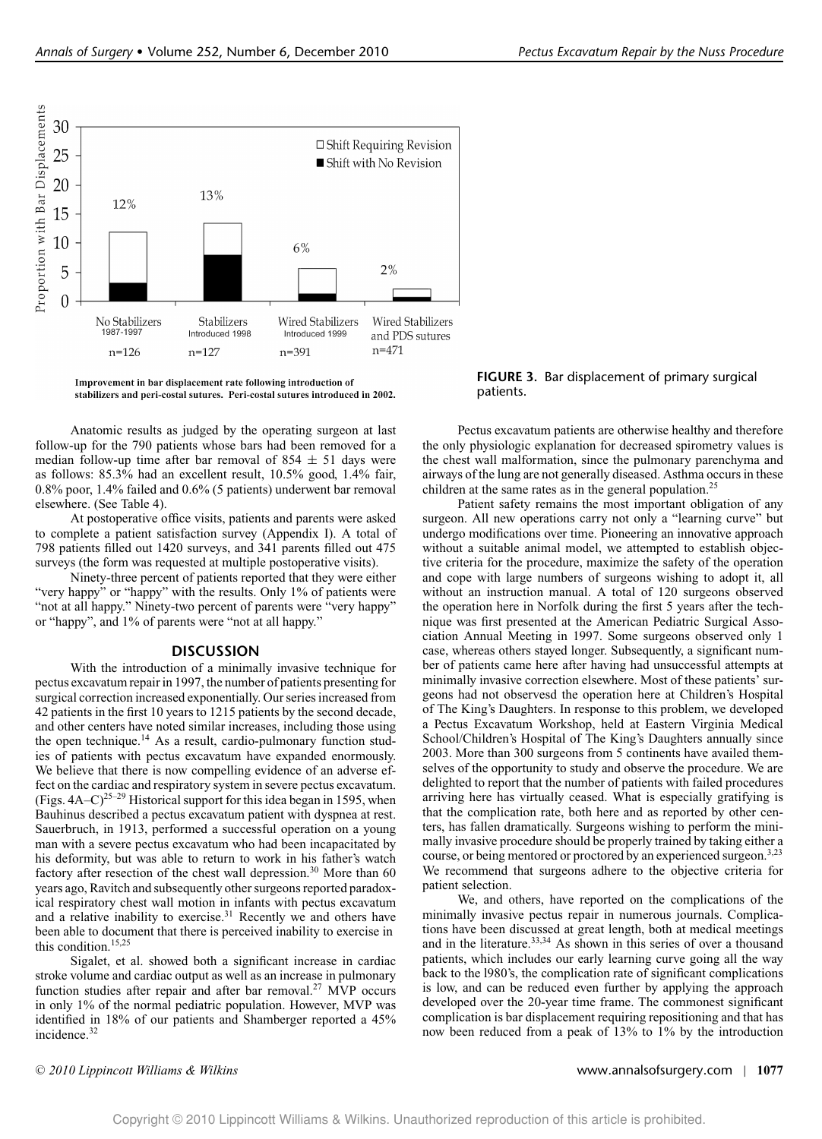



**FIGURE 3.** Bar displacement of primary surgical patients.

Anatomic results as judged by the operating surgeon at last follow-up for the 790 patients whose bars had been removed for a median follow-up time after bar removal of  $854 \pm 51$  days were as follows: 85.3% had an excellent result, 10.5% good, 1.4% fair, 0.8% poor, 1.4% failed and 0.6% (5 patients) underwent bar removal elsewhere. (See Table 4).

At postoperative office visits, patients and parents were asked to complete a patient satisfaction survey (Appendix I). A total of 798 patients filled out 1420 surveys, and 341 parents filled out 475 surveys (the form was requested at multiple postoperative visits).

Ninety-three percent of patients reported that they were either "very happy" or "happy" with the results. Only 1% of patients were "not at all happy." Ninety-two percent of parents were "very happy" or "happy", and 1% of parents were "not at all happy."

#### **DISCUSSION**

With the introduction of a minimally invasive technique for pectus excavatum repair in 1997, the number of patients presenting for surgical correction increased exponentially. Our series increased from 42 patients in the first 10 years to 1215 patients by the second decade, and other centers have noted similar increases, including those using the open technique.<sup>14</sup> As a result, cardio-pulmonary function studies of patients with pectus excavatum have expanded enormously. We believe that there is now compelling evidence of an adverse effect on the cardiac and respiratory system in severe pectus excavatum. (Figs.  $4A-C$ )<sup>25-29</sup> Historical support for this idea began in 1595, when Bauhinus described a pectus excavatum patient with dyspnea at rest. Sauerbruch, in 1913, performed a successful operation on a young man with a severe pectus excavatum who had been incapacitated by his deformity, but was able to return to work in his father's watch factory after resection of the chest wall depression.<sup>30</sup> More than 60 years ago, Ravitch and subsequently other surgeons reported paradoxical respiratory chest wall motion in infants with pectus excavatum and a relative inability to exercise.<sup>31</sup> Recently we and others have been able to document that there is perceived inability to exercise in this condition.15,25

Sigalet, et al. showed both a significant increase in cardiac stroke volume and cardiac output as well as an increase in pulmonary function studies after repair and after bar removal.<sup>27</sup> MVP occurs in only 1% of the normal pediatric population. However, MVP was identified in 18% of our patients and Shamberger reported a 45% incidence.<sup>32</sup>

Pectus excavatum patients are otherwise healthy and therefore the only physiologic explanation for decreased spirometry values is the chest wall malformation, since the pulmonary parenchyma and airways of the lung are not generally diseased. Asthma occurs in these children at the same rates as in the general population.<sup>25</sup>

Patient safety remains the most important obligation of any surgeon. All new operations carry not only a "learning curve" but undergo modifications over time. Pioneering an innovative approach without a suitable animal model, we attempted to establish objective criteria for the procedure, maximize the safety of the operation and cope with large numbers of surgeons wishing to adopt it, all without an instruction manual. A total of 120 surgeons observed the operation here in Norfolk during the first 5 years after the technique was first presented at the American Pediatric Surgical Association Annual Meeting in 1997. Some surgeons observed only 1 case, whereas others stayed longer. Subsequently, a significant number of patients came here after having had unsuccessful attempts at minimally invasive correction elsewhere. Most of these patients' surgeons had not observesd the operation here at Children's Hospital of The King's Daughters. In response to this problem, we developed a Pectus Excavatum Workshop, held at Eastern Virginia Medical School/Children's Hospital of The King's Daughters annually since 2003. More than 300 surgeons from 5 continents have availed themselves of the opportunity to study and observe the procedure. We are delighted to report that the number of patients with failed procedures arriving here has virtually ceased. What is especially gratifying is that the complication rate, both here and as reported by other centers, has fallen dramatically. Surgeons wishing to perform the minimally invasive procedure should be properly trained by taking either a course, or being mentored or proctored by an experienced surgeon.<sup>3,23</sup> We recommend that surgeons adhere to the objective criteria for patient selection.

We, and others, have reported on the complications of the minimally invasive pectus repair in numerous journals. Complications have been discussed at great length, both at medical meetings and in the literature.<sup>33,34</sup> As shown in this series of over a thousand patients, which includes our early learning curve going all the way back to the l980's, the complication rate of significant complications is low, and can be reduced even further by applying the approach developed over the 20-year time frame. The commonest significant complication is bar displacement requiring repositioning and that has now been reduced from a peak of 13% to 1% by the introduction

## © 2010 Lippincott Williams & Wilkins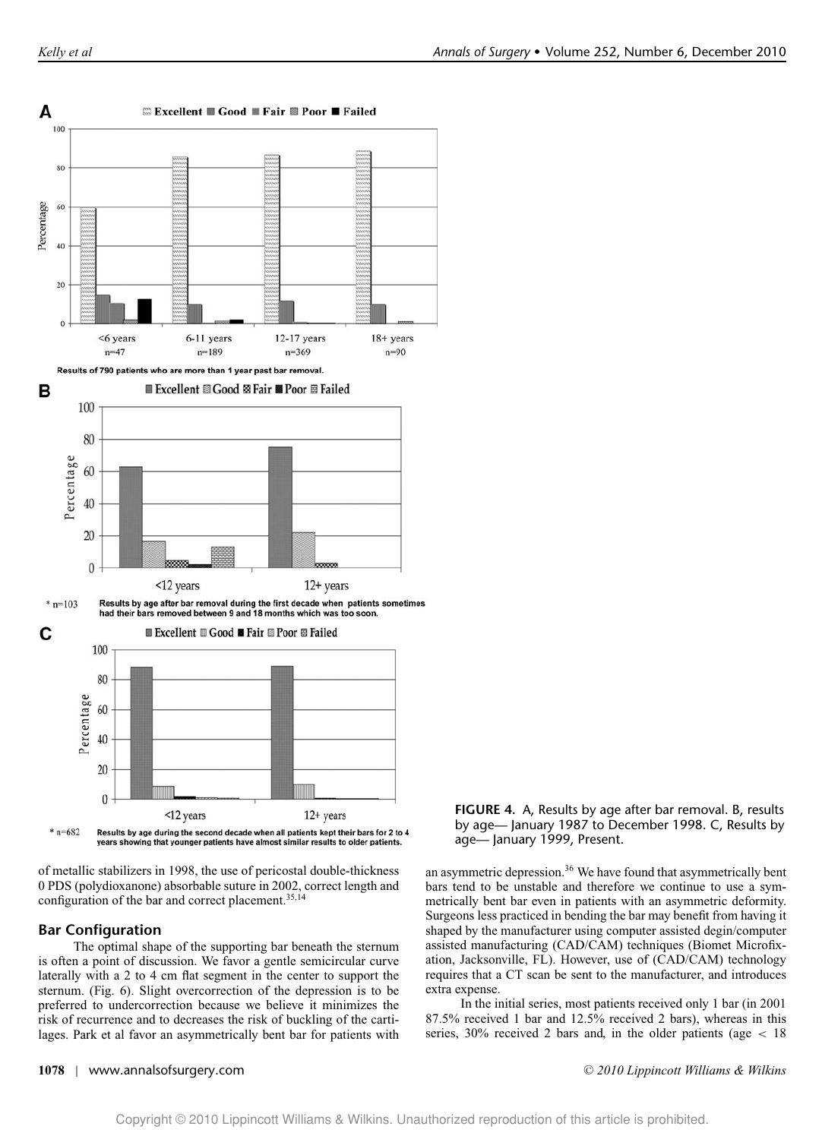

of metallic stabilizers in 1998, the use of pericostal double-thickness 0 PDS (polydioxanone) absorbable suture in 2002, correct length and configuration of the bar and correct placement.<sup>35,14</sup>

# **Bar Configuration**

The optimal shape of the supporting bar beneath the sternum is often a point of discussion. We favor a gentle semicircular curve laterally with a 2 to 4 cm flat segment in the center to support the sternum. (Fig. 6). Slight overcorrection of the depression is to be preferred to undercorrection because we believe it minimizes the risk of recurrence and to decreases the risk of buckling of the cartilages. Park et al favor an asymmetrically bent bar for patients with

**FIGURE 4.** A, Results by age after bar removal. B, results by age— January 1987 to December 1998. C, Results by age— January 1999, Present.

an asymmetric depression.<sup>36</sup> We have found that asymmetrically bent bars tend to be unstable and therefore we continue to use a symmetrically bent bar even in patients with an asymmetric deformity. Surgeons less practiced in bending the bar may benefit from having it shaped by the manufacturer using computer assisted degin/computer assisted manufacturing (CAD/CAM) techniques (Biomet Microfixation, Jacksonville, FL). However, use of (CAD/CAM) technology requires that a CT scan be sent to the manufacturer, and introduces extra expense.

In the initial series, most patients received only 1 bar (in 2001 87.5% received 1 bar and 12.5% received 2 bars), whereas in this series, 30% received 2 bars and, in the older patients (age < 18

## 1078 | www.annalsofsurgery.com

<sup>C</sup> *2010 Lippincott Williams & Wilkins*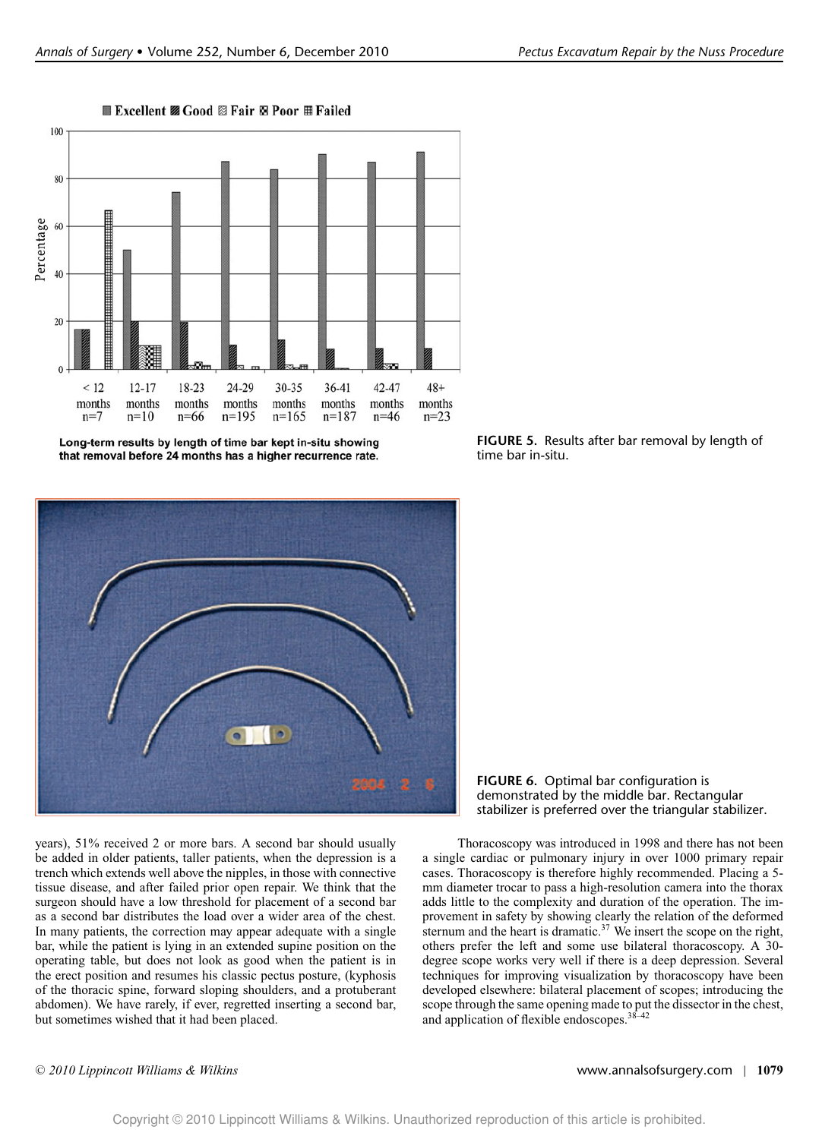



years), 51% received 2 or more bars. A second bar should usually be added in older patients, taller patients, when the depression is a trench which extends well above the nipples, in those with connective tissue disease, and after failed prior open repair. We think that the surgeon should have a low threshold for placement of a second bar as a second bar distributes the load over a wider area of the chest. In many patients, the correction may appear adequate with a single bar, while the patient is lying in an extended supine position on the operating table, but does not look as good when the patient is in the erect position and resumes his classic pectus posture, (kyphosis of the thoracic spine, forward sloping shoulders, and a protuberant abdomen). We have rarely, if ever, regretted inserting a second bar, but sometimes wished that it had been placed.



**FIGURE 5.** Results after bar removal by length of time bar in-situ.

**FIGURE 6.** Optimal bar configuration is demonstrated by the middle bar. Rectangular stabilizer is preferred over the triangular stabilizer.

Thoracoscopy was introduced in 1998 and there has not been a single cardiac or pulmonary injury in over 1000 primary repair cases. Thoracoscopy is therefore highly recommended. Placing a 5 mm diameter trocar to pass a high-resolution camera into the thorax adds little to the complexity and duration of the operation. The improvement in safety by showing clearly the relation of the deformed sternum and the heart is dramatic.<sup>37</sup> We insert the scope on the right, others prefer the left and some use bilateral thoracoscopy. A 30 degree scope works very well if there is a deep depression. Several techniques for improving visualization by thoracoscopy have been developed elsewhere: bilateral placement of scopes; introducing the scope through the same opening made to put the dissector in the chest, and application of flexible endoscopes.38–42

## © 2010 Lippincott Williams & Wilkins

# <sup>C</sup> *2010 Lippincott Williams & Wilkins* www.annalsofsurgery.com | **1079**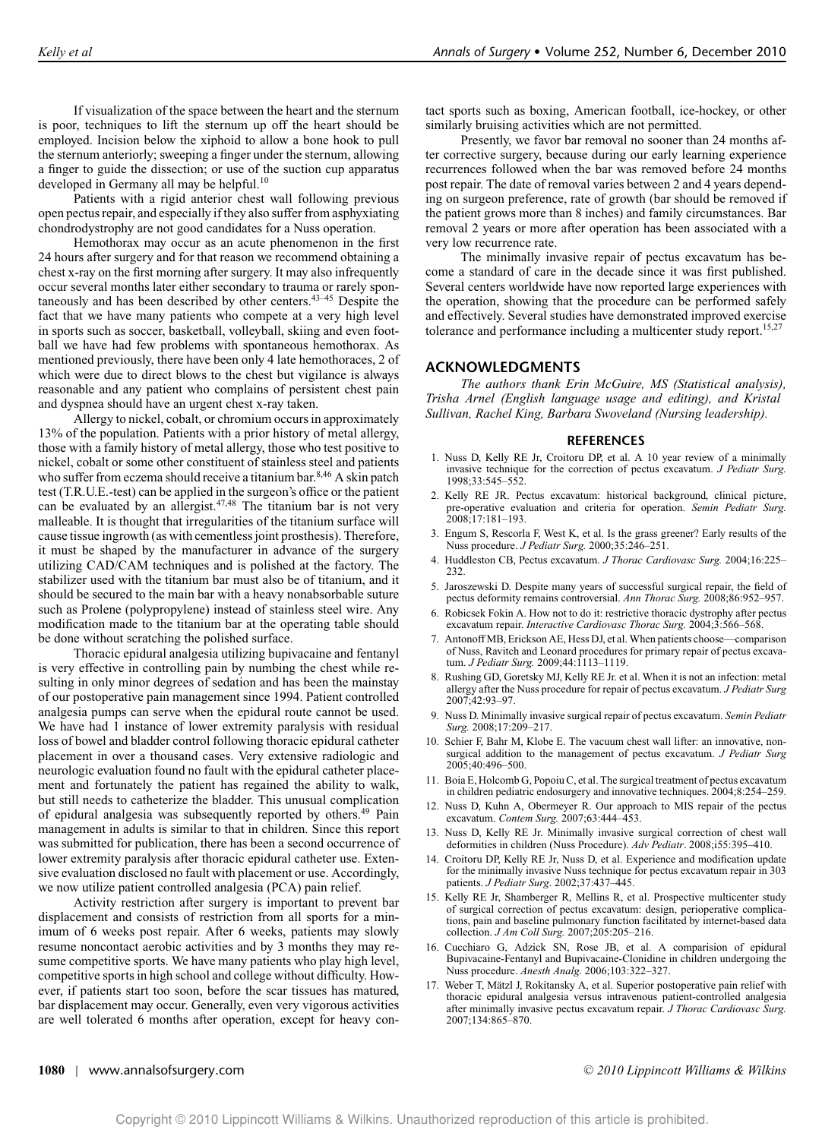If visualization of the space between the heart and the sternum is poor, techniques to lift the sternum up off the heart should be employed. Incision below the xiphoid to allow a bone hook to pull the sternum anteriorly; sweeping a finger under the sternum, allowing a finger to guide the dissection; or use of the suction cup apparatus developed in Germany all may be helpful.<sup>10</sup>

Patients with a rigid anterior chest wall following previous open pectus repair, and especially if they also suffer from asphyxiating chondrodystrophy are not good candidates for a Nuss operation.

Hemothorax may occur as an acute phenomenon in the first 24 hours after surgery and for that reason we recommend obtaining a chest x-ray on the first morning after surgery. It may also infrequently occur several months later either secondary to trauma or rarely spontaneously and has been described by other centers.<sup>43-45</sup> Despite the fact that we have many patients who compete at a very high level in sports such as soccer, basketball, volleyball, skiing and even football we have had few problems with spontaneous hemothorax. As mentioned previously, there have been only 4 late hemothoraces, 2 of which were due to direct blows to the chest but vigilance is always reasonable and any patient who complains of persistent chest pain and dyspnea should have an urgent chest x-ray taken.

Allergy to nickel, cobalt, or chromium occurs in approximately 13% of the population. Patients with a prior history of metal allergy, those with a family history of metal allergy, those who test positive to nickel, cobalt or some other constituent of stainless steel and patients who suffer from eczema should receive a titanium bar.<sup>8,46</sup> A skin patch test (T.R.U.E.-test) can be applied in the surgeon's office or the patient can be evaluated by an allergist.<sup>47,48</sup> The titanium bar is not very malleable. It is thought that irregularities of the titanium surface will cause tissue ingrowth (as with cementless joint prosthesis). Therefore, it must be shaped by the manufacturer in advance of the surgery utilizing CAD/CAM techniques and is polished at the factory. The stabilizer used with the titanium bar must also be of titanium, and it should be secured to the main bar with a heavy nonabsorbable suture such as Prolene (polypropylene) instead of stainless steel wire. Any modification made to the titanium bar at the operating table should be done without scratching the polished surface.

Thoracic epidural analgesia utilizing bupivacaine and fentanyl is very effective in controlling pain by numbing the chest while resulting in only minor degrees of sedation and has been the mainstay of our postoperative pain management since 1994. Patient controlled analgesia pumps can serve when the epidural route cannot be used. We have had 1 instance of lower extremity paralysis with residual loss of bowel and bladder control following thoracic epidural catheter placement in over a thousand cases. Very extensive radiologic and neurologic evaluation found no fault with the epidural catheter placement and fortunately the patient has regained the ability to walk, but still needs to catheterize the bladder. This unusual complication of epidural analgesia was subsequently reported by others.<sup>49</sup> Pain management in adults is similar to that in children. Since this report was submitted for publication, there has been a second occurrence of lower extremity paralysis after thoracic epidural catheter use. Extensive evaluation disclosed no fault with placement or use. Accordingly, we now utilize patient controlled analgesia (PCA) pain relief.

Activity restriction after surgery is important to prevent bar displacement and consists of restriction from all sports for a minimum of 6 weeks post repair. After 6 weeks, patients may slowly resume noncontact aerobic activities and by 3 months they may resume competitive sports. We have many patients who play high level, competitive sports in high school and college without difficulty. However, if patients start too soon, before the scar tissues has matured, bar displacement may occur. Generally, even very vigorous activities are well tolerated 6 months after operation, except for heavy contact sports such as boxing, American football, ice-hockey, or other similarly bruising activities which are not permitted.

Presently, we favor bar removal no sooner than 24 months after corrective surgery, because during our early learning experience recurrences followed when the bar was removed before 24 months post repair. The date of removal varies between 2 and 4 years depending on surgeon preference, rate of growth (bar should be removed if the patient grows more than 8 inches) and family circumstances. Bar removal 2 years or more after operation has been associated with a very low recurrence rate.

The minimally invasive repair of pectus excavatum has become a standard of care in the decade since it was first published. Several centers worldwide have now reported large experiences with the operation, showing that the procedure can be performed safely and effectively. Several studies have demonstrated improved exercise tolerance and performance including a multicenter study report.<sup>15,27</sup>

# **ACKNOWLEDGMENTS**

*The authors thank Erin McGuire, MS (Statistical analysis), Trisha Arnel (English language usage and editing), and Kristal Sullivan, Rachel King, Barbara Swoveland (Nursing leadership).*

#### **REFERENCES**

- 1. Nuss D, Kelly RE Jr, Croitoru DP, et al. A 10 year review of a minimally invasive technique for the correction of pectus excavatum. *J Pediatr Surg.* 1998;33:545–552.
- 2. Kelly RE JR. Pectus excavatum: historical background, clinical picture, pre-operative evaluation and criteria for operation. *Semin Pediatr Surg.* 2008;17:181–193.
- 3. Engum S, Rescorla F, West K, et al. Is the grass greener? Early results of the Nuss procedure. *J Pediatr Surg.* 2000;35:246–251.
- 4. Huddleston CB, Pectus excavatum. *J Thorac Cardiovasc Surg.* 2004;16:225– 232.
- 5. Jaroszewski D. Despite many years of successful surgical repair, the field of pectus deformity remains controversial. *Ann Thorac Surg.* 2008;86:952–957.
- Robicsek Fokin A. How not to do it: restrictive thoracic dystrophy after pectus excavatum repair. *Interactive Cardiovasc Thorac Surg.* 2004;3:566–568.
- 7. Antonoff MB, Erickson AE, Hess DJ, et al. When patients choose—comparison of Nuss, Ravitch and Leonard procedures for primary repair of pectus excavatum. *J Pediatr Surg.* 2009;44:1113–1119.
- 8. Rushing GD, Goretsky MJ, Kelly RE Jr. et al. When it is not an infection: metal allergy after the Nuss procedure for repair of pectus excavatum. *J Pediatr Surg* 2007;42:93–97.
- 9. Nuss D. Minimally invasive surgical repair of pectus excavatum. *Semin Pediatr Surg.* 2008;17:209–217.
- 10. Schier F, Bahr M, Klobe E. The vacuum chest wall lifter: an innovative, nonsurgical addition to the management of pectus excavatum. *J Pediatr Surg* 2005;40:496–500.
- 11. Boia E, Holcomb G, Popoiu C, et al. The surgical treatment of pectus excavatum in children pediatric endosurgery and innovative techniques. 2004;8:254–259.
- 12. Nuss D, Kuhn A, Obermeyer R. Our approach to MIS repair of the pectus excavatum. *Contem Surg.* 2007;63:444–453.
- 13. Nuss D, Kelly RE Jr. Minimally invasive surgical correction of chest wall deformities in children (Nuss Procedure). *Adv Pediatr*. 2008;i55:395–410.
- 14. Croitoru DP, Kelly RE Jr, Nuss D, et al. Experience and modification update for the minimally invasive Nuss technique for pectus excavatum repair in 303 patients. *J Pediatr Surg*. 2002;37:437–445.
- 15. Kelly RE Jr, Shamberger R, Mellins R, et al. Prospective multicenter study of surgical correction of pectus excavatum: design, perioperative complications, pain and baseline pulmonary function facilitated by internet-based data collection. *J Am Coll Surg.* 2007;205:205–216.
- 16. Cucchiaro G, Adzick SN, Rose JB, et al. A comparision of epidural Bupivacaine-Fentanyl and Bupivacaine-Clonidine in children undergoing the Nuss procedure. *Anesth Analg.* 2006;103:322–327.
- Weber T, Mätzl J, Rokitansky A, et al. Superior postoperative pain relief with thoracic epidural analgesia versus intravenous patient-controlled analgesia after minimally invasive pectus excavatum repair. *J Thorac Cardiovasc Surg.* 2007;134:865–870.

## 1080 | www.annalsofsurgery.com

## <sup>C</sup> *2010 Lippincott Williams & Wilkins*